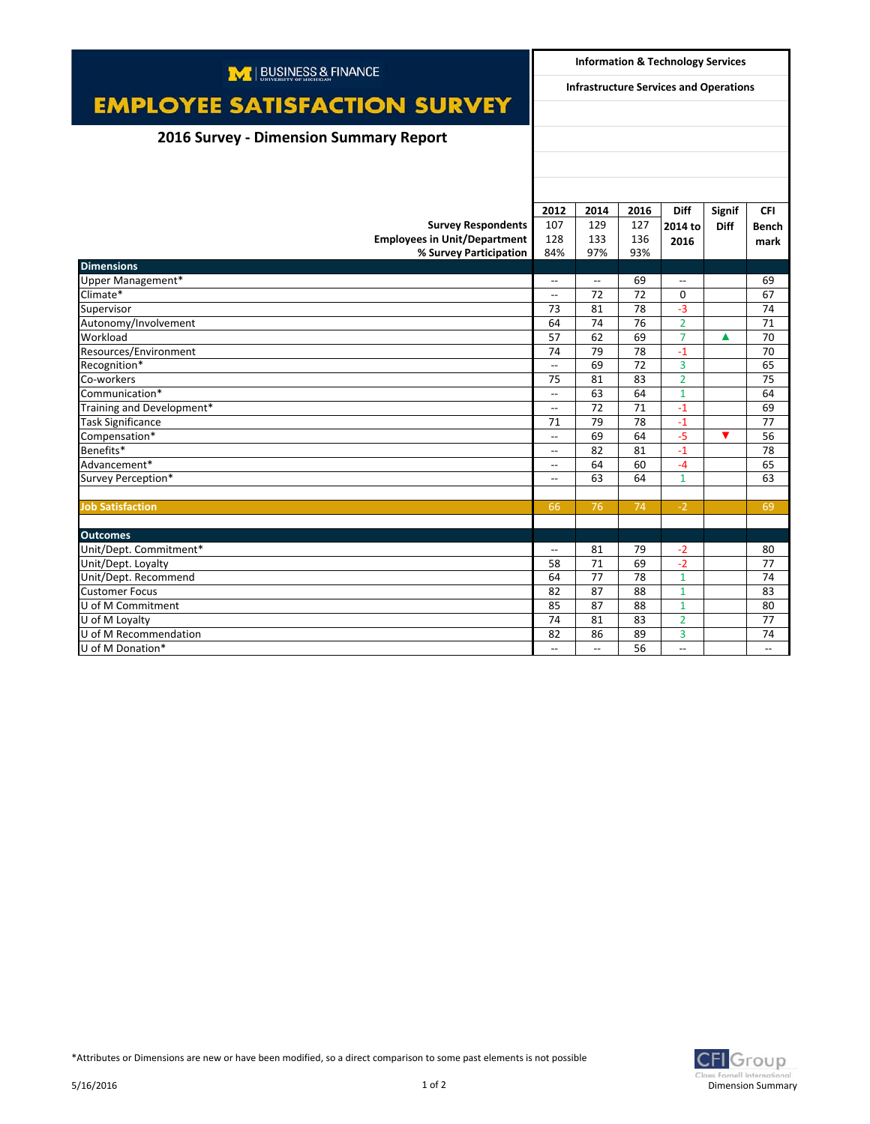| M   BUSINESS & FINANCE                        |                                               | <b>Information &amp; Technology Services</b> |      |                          |             |              |  |
|-----------------------------------------------|-----------------------------------------------|----------------------------------------------|------|--------------------------|-------------|--------------|--|
| <b>EMPLOYEE SATISFACTION SURVEY</b>           | <b>Infrastructure Services and Operations</b> |                                              |      |                          |             |              |  |
|                                               |                                               |                                              |      |                          |             |              |  |
| <b>2016 Survey - Dimension Summary Report</b> |                                               |                                              |      |                          |             |              |  |
|                                               |                                               |                                              |      |                          |             |              |  |
|                                               |                                               |                                              |      |                          |             |              |  |
|                                               |                                               |                                              |      |                          |             |              |  |
|                                               | 2012                                          | 2014                                         | 2016 | <b>Diff</b>              | Signif      | <b>CFI</b>   |  |
| <b>Survey Respondents</b>                     | 107                                           | 129                                          | 127  | 2014 to                  | <b>Diff</b> | <b>Bench</b> |  |
| <b>Employees in Unit/Department</b>           | 128                                           | 133                                          | 136  | 2016                     |             | mark         |  |
| % Survey Participation                        | 84%                                           | 97%                                          | 93%  |                          |             |              |  |
| <b>Dimensions</b>                             |                                               |                                              |      |                          |             |              |  |
| Upper Management*                             | $\overline{\phantom{a}}$                      | $\overline{\phantom{a}}$                     | 69   | $\overline{\phantom{a}}$ |             | 69           |  |
| Climate*                                      | $\overline{\phantom{a}}$                      | 72                                           | 72   | $\Omega$                 |             | 67           |  |
| Supervisor                                    | 73                                            | 81                                           | 78   | $-3$                     |             | 74           |  |
| Autonomy/Involvement                          | 64                                            | 74                                           | 76   | $\overline{2}$           |             | 71           |  |
| Workload                                      | 57                                            | 62                                           | 69   | $\overline{7}$           | ▲           | 70           |  |
| Resources/Environment                         | 74                                            | 79                                           | 78   | $-1$                     |             | 70           |  |
| Recognition*                                  | $\overline{\phantom{a}}$                      | 69                                           | 72   | $\overline{3}$           |             | 65           |  |
| Co-workers                                    | 75                                            | 81                                           | 83   | $\overline{2}$           |             | 75           |  |
| Communication*                                | $\overline{\phantom{a}}$                      | 63                                           | 64   | $\mathbf{1}$             |             | 64           |  |
| Training and Development*                     | $\overline{\phantom{a}}$                      | 72                                           | 71   | $-1$                     |             | 69           |  |
| <b>Task Significance</b>                      | 71                                            | 79                                           | 78   | $-1$                     |             | 77           |  |
| Compensation*                                 | $\overline{\phantom{a}}$                      | 69                                           | 64   | $-5$                     | ▼           | 56           |  |
| Benefits*                                     | $\overline{\phantom{a}}$                      | 82                                           | 81   | $-1$                     |             | 78           |  |
| Advancement*                                  | $\overline{\phantom{a}}$                      | 64                                           | 60   | $-4$                     |             | 65           |  |
| Survey Perception*                            | $-$                                           | 63                                           | 64   | $\mathbf{1}$             |             | 63           |  |
|                                               |                                               |                                              |      |                          |             |              |  |
| <b>Job Satisfaction</b>                       | 66                                            | 76                                           | 74   | $-2$                     |             | 69           |  |
|                                               |                                               |                                              |      |                          |             |              |  |
| <b>Outcomes</b>                               |                                               |                                              |      |                          |             |              |  |
| Unit/Dept. Commitment*                        | $\overline{\phantom{0}}$                      | 81                                           | 79   | $-2$                     |             | 80           |  |
| Unit/Dept. Loyalty                            | 58                                            | 71                                           | 69   | $-2$                     |             | 77           |  |
| Unit/Dept. Recommend                          | 64                                            | 77                                           | 78   | $\mathbf{1}$             |             | 74           |  |
| <b>Customer Focus</b>                         | 82                                            | 87                                           | 88   | $\mathbf{1}$             |             | 83           |  |
| U of M Commitment                             | 85                                            | 87                                           | 88   | $\mathbf{1}$             |             | 80           |  |
| U of M Loyalty                                | 74                                            | 81                                           | 83   | $\overline{2}$           |             | 77           |  |
| U of M Recommendation                         | 82                                            | 86                                           | 89   | 3                        |             | 74           |  |
| U of M Donation*                              | $\overline{\phantom{a}}$                      | $\overline{\phantom{a}}$                     | 56   | $\overline{\phantom{a}}$ |             | $-$          |  |